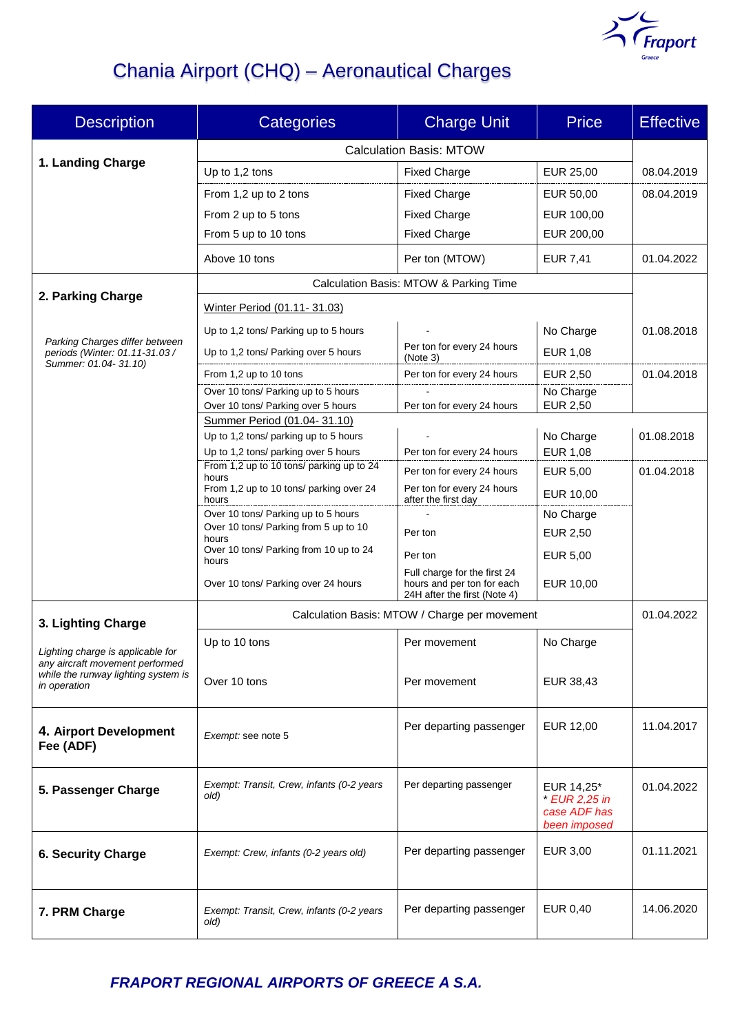

# Chania Airport (CHQ) – Aeronautical Charges

| <b>Description</b>                                                   | <b>Categories</b>                                                             | <b>Charge Unit</b>                                         | <b>Price</b>                 | <b>Effective</b> |
|----------------------------------------------------------------------|-------------------------------------------------------------------------------|------------------------------------------------------------|------------------------------|------------------|
|                                                                      | <b>Calculation Basis: MTOW</b>                                                |                                                            |                              |                  |
| 1. Landing Charge                                                    | Up to 1,2 tons                                                                | <b>Fixed Charge</b>                                        | EUR 25,00                    | 08.04.2019       |
|                                                                      | From 1,2 up to 2 tons                                                         | <b>Fixed Charge</b>                                        | EUR 50,00                    | 08.04.2019       |
|                                                                      | From 2 up to 5 tons                                                           | <b>Fixed Charge</b>                                        | EUR 100,00                   |                  |
|                                                                      | From 5 up to 10 tons                                                          | <b>Fixed Charge</b>                                        | EUR 200,00                   |                  |
|                                                                      | Above 10 tons                                                                 | Per ton (MTOW)                                             | <b>EUR 7,41</b>              | 01.04.2022       |
|                                                                      | Calculation Basis: MTOW & Parking Time                                        |                                                            |                              |                  |
| 2. Parking Charge                                                    | Winter Period (01.11-31.03)                                                   |                                                            |                              |                  |
|                                                                      | Up to 1,2 tons/ Parking up to 5 hours                                         |                                                            | No Charge                    | 01.08.2018       |
| Parking Charges differ between<br>periods (Winter: 01.11-31.03 /     | Up to 1,2 tons/ Parking over 5 hours                                          | Per ton for every 24 hours<br>(Note 3)                     | <b>EUR 1,08</b>              |                  |
| Summer: 01.04-31.10)                                                 | From 1,2 up to 10 tons                                                        | Per ton for every 24 hours                                 | <b>EUR 2,50</b>              | 01.04.2018       |
|                                                                      | Over 10 tons/ Parking up to 5 hours                                           |                                                            | No Charge                    |                  |
|                                                                      | Over 10 tons/ Parking over 5 hours                                            | Per ton for every 24 hours                                 | <b>EUR 2,50</b>              |                  |
|                                                                      | Summer Period (01.04-31.10)                                                   |                                                            |                              |                  |
|                                                                      | Up to 1,2 tons/ parking up to 5 hours<br>Up to 1,2 tons/ parking over 5 hours | Per ton for every 24 hours                                 | No Charge<br><b>EUR 1,08</b> | 01.08.2018       |
|                                                                      | From 1,2 up to 10 tons/ parking up to 24                                      | Per ton for every 24 hours                                 | EUR 5,00                     | 01.04.2018       |
|                                                                      | hours<br>From 1,2 up to 10 tons/ parking over 24                              | Per ton for every 24 hours                                 |                              |                  |
|                                                                      | hours                                                                         | after the first day                                        | EUR 10,00                    |                  |
|                                                                      | Over 10 tons/ Parking up to 5 hours<br>Over 10 tons/ Parking from 5 up to 10  |                                                            | No Charge                    |                  |
|                                                                      | hours                                                                         | Per ton                                                    | <b>EUR 2,50</b>              |                  |
|                                                                      | Over 10 tons/ Parking from 10 up to 24<br>hours                               | Per ton                                                    | EUR 5,00                     |                  |
|                                                                      | Over 10 tons/ Parking over 24 hours                                           | Full charge for the first 24<br>hours and per ton for each | <b>EUR 10,00</b>             |                  |
|                                                                      | 24H after the first (Note 4)<br>Calculation Basis: MTOW / Charge per movement |                                                            |                              |                  |
| 3. Lighting Charge                                                   |                                                                               | 01.04.2022                                                 |                              |                  |
| Lighting charge is applicable for<br>any aircraft movement performed | Up to 10 tons                                                                 | Per movement                                               | No Charge                    |                  |
|                                                                      |                                                                               |                                                            |                              |                  |
| while the runway lighting system is<br>in operation                  | Over 10 tons                                                                  | Per movement                                               | EUR 38,43                    |                  |
|                                                                      |                                                                               |                                                            |                              |                  |
| 4. Airport Development                                               | Exempt: see note 5                                                            | Per departing passenger                                    | EUR 12,00                    | 11.04.2017       |
| Fee (ADF)                                                            |                                                                               |                                                            |                              |                  |
|                                                                      | Exempt: Transit, Crew, infants (0-2 years                                     | Per departing passenger                                    | EUR 14,25*                   | 01.04.2022       |
| 5. Passenger Charge                                                  | old)                                                                          |                                                            | $*$ EUR 2,25 in              |                  |
|                                                                      |                                                                               |                                                            | case ADF has<br>been imposed |                  |
|                                                                      |                                                                               | Per departing passenger                                    | EUR 3,00                     | 01.11.2021       |
| <b>6. Security Charge</b>                                            | Exempt: Crew, infants (0-2 years old)                                         |                                                            |                              |                  |
|                                                                      |                                                                               |                                                            |                              |                  |
| 7. PRM Charge                                                        | Exempt: Transit, Crew, infants (0-2 years                                     | Per departing passenger                                    | EUR 0,40                     | 14.06.2020       |
|                                                                      | old)                                                                          |                                                            |                              |                  |

*FRAPORT REGIONAL AIRPORTS OF GREECE Α S.A.*